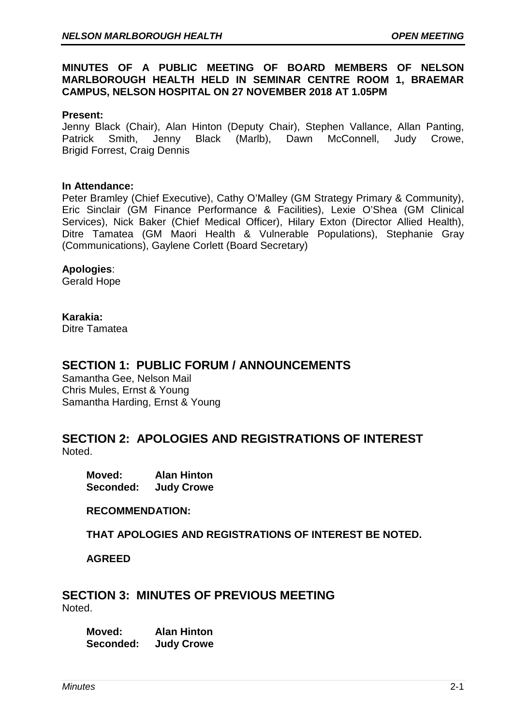# **MINUTES OF A PUBLIC MEETING OF BOARD MEMBERS OF NELSON MARLBOROUGH HEALTH HELD IN SEMINAR CENTRE ROOM 1, BRAEMAR CAMPUS, NELSON HOSPITAL ON 27 NOVEMBER 2018 AT 1.05PM**

#### **Present:**

Jenny Black (Chair), Alan Hinton (Deputy Chair), Stephen Vallance, Allan Panting, Patrick Smith, Jenny Black (Marlb), Dawn McConnell, Judy Crowe, Brigid Forrest, Craig Dennis

#### **In Attendance:**

Peter Bramley (Chief Executive), Cathy O'Malley (GM Strategy Primary & Community), Eric Sinclair (GM Finance Performance & Facilities), Lexie O'Shea (GM Clinical Services), Nick Baker (Chief Medical Officer), Hilary Exton (Director Allied Health), Ditre Tamatea (GM Maori Health & Vulnerable Populations), Stephanie Gray (Communications), Gaylene Corlett (Board Secretary)

#### **Apologies**:

Gerald Hope

#### **Karakia:**

Ditre Tamatea

# **SECTION 1: PUBLIC FORUM / ANNOUNCEMENTS**

Samantha Gee, Nelson Mail Chris Mules, Ernst & Young Samantha Harding, Ernst & Young

# **SECTION 2: APOLOGIES AND REGISTRATIONS OF INTEREST** Noted.

**Moved: Alan Hinton Judy Crowe** 

**RECOMMENDATION:** 

**THAT APOLOGIES AND REGISTRATIONS OF INTEREST BE NOTED.**

**AGREED**

# **SECTION 3: MINUTES OF PREVIOUS MEETING** Noted.

**Moved: Alan Hinton Seconded: Judy Crowe**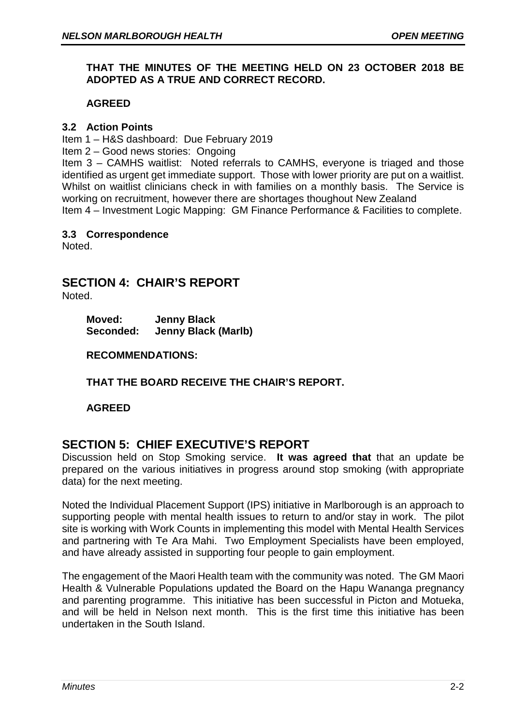# **THAT THE MINUTES OF THE MEETING HELD ON 23 OCTOBER 2018 BE ADOPTED AS A TRUE AND CORRECT RECORD.**

# **AGREED**

# **3.2 Action Points**

Item 1 – H&S dashboard: Due February 2019

Item 2 – Good news stories: Ongoing

Item 3 – CAMHS waitlist: Noted referrals to CAMHS, everyone is triaged and those identified as urgent get immediate support. Those with lower priority are put on a waitlist. Whilst on waitlist clinicians check in with families on a monthly basis. The Service is working on recruitment, however there are shortages thoughout New Zealand Item 4 – Investment Logic Mapping: GM Finance Performance & Facilities to complete.

#### **3.3 Correspondence**

Noted.

# **SECTION 4: CHAIR'S REPORT**

Noted.

**Moved: Jenny Black Seconded: Jenny Black (Marlb)**

# **RECOMMENDATIONS:**

**THAT THE BOARD RECEIVE THE CHAIR'S REPORT.**

**AGREED**

# **SECTION 5: CHIEF EXECUTIVE'S REPORT**

Discussion held on Stop Smoking service. **It was agreed that** that an update be prepared on the various initiatives in progress around stop smoking (with appropriate data) for the next meeting.

Noted the Individual Placement Support (IPS) initiative in Marlborough is an approach to supporting people with mental health issues to return to and/or stay in work. The pilot site is working with Work Counts in implementing this model with Mental Health Services and partnering with Te Ara Mahi. Two Employment Specialists have been employed, and have already assisted in supporting four people to gain employment.

The engagement of the Maori Health team with the community was noted. The GM Maori Health & Vulnerable Populations updated the Board on the Hapu Wananga pregnancy and parenting programme. This initiative has been successful in Picton and Motueka, and will be held in Nelson next month. This is the first time this initiative has been undertaken in the South Island.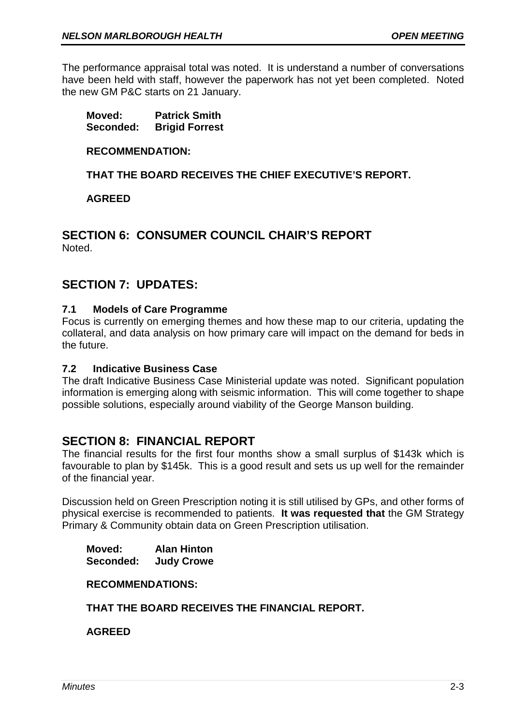The performance appraisal total was noted. It is understand a number of conversations have been held with staff, however the paperwork has not yet been completed. Noted the new GM P&C starts on 21 January.

**Moved: Patrick Smith Seconded: Brigid Forrest**

### **RECOMMENDATION:**

# **THAT THE BOARD RECEIVES THE CHIEF EXECUTIVE'S REPORT.**

#### **AGREED**

# **SECTION 6: CONSUMER COUNCIL CHAIR'S REPORT** Noted.

# **SECTION 7: UPDATES:**

# **7.1 Models of Care Programme**

Focus is currently on emerging themes and how these map to our criteria, updating the collateral, and data analysis on how primary care will impact on the demand for beds in the future.

# **7.2 Indicative Business Case**

The draft Indicative Business Case Ministerial update was noted. Significant population information is emerging along with seismic information. This will come together to shape possible solutions, especially around viability of the George Manson building.

# **SECTION 8: FINANCIAL REPORT**

The financial results for the first four months show a small surplus of \$143k which is favourable to plan by \$145k. This is a good result and sets us up well for the remainder of the financial year.

Discussion held on Green Prescription noting it is still utilised by GPs, and other forms of physical exercise is recommended to patients. **It was requested that** the GM Strategy Primary & Community obtain data on Green Prescription utilisation.

**Moved: Alan Hinton Seconded: Judy Crowe**

#### **RECOMMENDATIONS:**

# **THAT THE BOARD RECEIVES THE FINANCIAL REPORT.**

**AGREED**